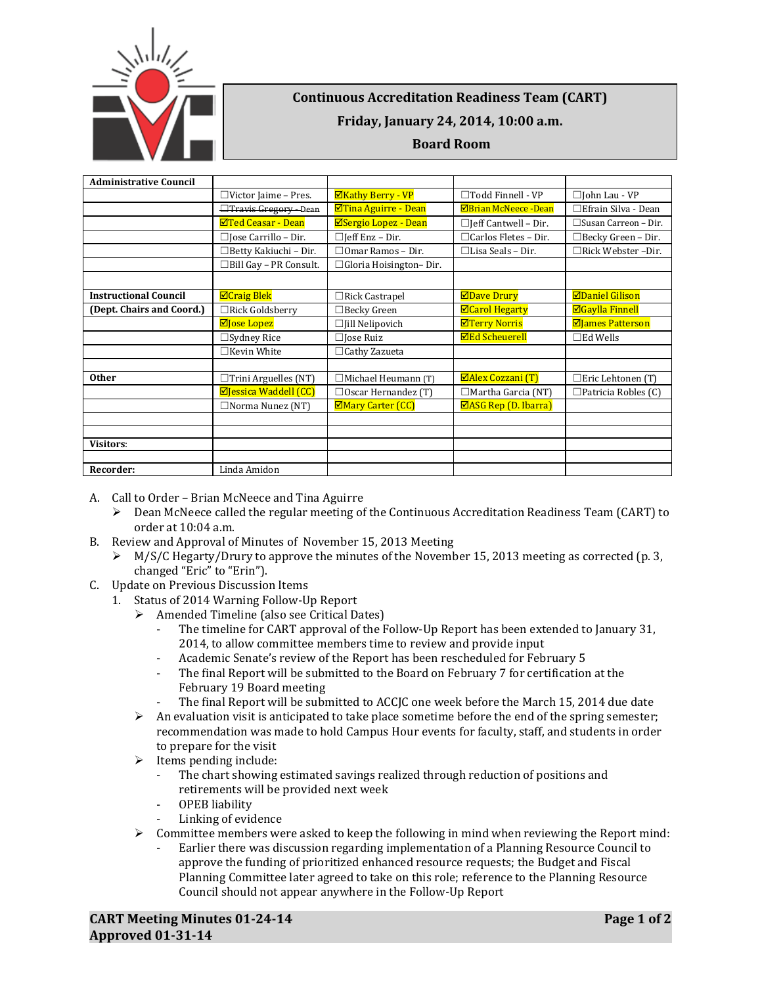

## **Continuous Accreditation Readiness Team (CART) Friday, January 24, 2014, 10:00 a.m.**

## **Board Room**

| <b>Administrative Council</b> |                                |                               |                                 |                             |
|-------------------------------|--------------------------------|-------------------------------|---------------------------------|-----------------------------|
|                               | $\Box$ Victor Jaime – Pres.    | <b>ØKathy Berry - VP</b>      | $\Box$ Todd Finnell - VP        | $\Box$ John Lau - VP        |
|                               | <b>Travis Gregory - Dean</b>   | <b>ØTina Aguirre - Dean</b>   | <b>ØBrian McNeece -Dean</b>     | □Efrain Silva - Dean        |
|                               | <b>ØTed Ceasar - Dean</b>      | ⊠Sergio Lopez - Dean          | $\Box$ Jeff Cantwell - Dir.     | $\Box$ Susan Carreon - Dir. |
|                               | $\Box$ Jose Carrillo – Dir.    | $\Box$ Jeff Enz – Dir.        | $\Box$ Carlos Fletes - Dir.     | $\Box$ Becky Green – Dir.   |
|                               | □Betty Kakiuchi - Dir.         | $\Box$ Omar Ramos – Dir.      | $\Box$ Lisa Seals – Dir.        | □Rick Webster –Dir.         |
|                               | $\Box$ Bill Gay - PR Consult.  | $\Box$ Gloria Hoisington-Dir. |                                 |                             |
|                               |                                |                               |                                 |                             |
| <b>Instructional Council</b>  | <b>ØCraig Blek</b>             | $\Box$ Rick Castrapel         | <b>ØDave Drury</b>              | <b>ØDaniel Gilison</b>      |
| (Dept. Chairs and Coord.)     | $\Box$ Rick Goldsberry         | $\Box$ Becky Green            | <b>ØCarol Hegarty</b>           | <b>ØGaylla Finnell</b>      |
|                               | <b>⊠Jose Lopez</b>             | $\Box$ Jill Nelipovich        | <b>ØTerry Norris</b>            | <b>ØJames Patterson</b>     |
|                               | $\Box$ Sydney Rice             | $\Box$ Jose Ruiz              | <b>ØEd Scheuerell</b>           | $\square$ Ed Wells          |
|                               | □Kevin White                   | $\Box$ Cathy Zazueta          |                                 |                             |
|                               |                                |                               |                                 |                             |
| <b>Other</b>                  | $\Box$ Trini Arguelles (NT)    | □Michael Heumann (T)          | <b>ØAlex Cozzani (T)</b>        | $\square$ Eric Lehtonen (T) |
|                               | $\boxdot$ Jessica Waddell (CC) | $\Box$ Oscar Hernandez (T)    | $\Box$ Martha Garcia (NT)       | $\Box$ Patricia Robles (C)  |
|                               | $\Box$ Norma Nunez (NT)        | ⊠Mary Carter (CC)             | $\boxtimes$ ASG Rep (D. Ibarra) |                             |
|                               |                                |                               |                                 |                             |
|                               |                                |                               |                                 |                             |
| <b>Visitors:</b>              |                                |                               |                                 |                             |
|                               |                                |                               |                                 |                             |
| Recorder:                     | Linda Amidon                   |                               |                                 |                             |

- A. Call to Order Brian McNeece and Tina Aguirre
	- $\triangleright$  Dean McNeece called the regular meeting of the Continuous Accreditation Readiness Team (CART) to order at 10:04 a.m.
- B. Review and Approval of Minutes of November 15, 2013 Meeting
	- $\triangleright$  M/S/C Hegarty/Drury to approve the minutes of the November 15, 2013 meeting as corrected (p. 3, changed "Eric" to "Erin").
- C. Update on Previous Discussion Items
	- 1. Status of 2014 Warning Follow-Up Report
		- Amended Timeline (also see Critical Dates)
			- The timeline for CART approval of the Follow-Up Report has been extended to January 31, 2014, to allow committee members time to review and provide input
			- Academic Senate's review of the Report has been rescheduled for February 5
			- The final Report will be submitted to the Board on February 7 for certification at the February 19 Board meeting
			- The final Report will be submitted to ACCJC one week before the March 15, 2014 due date
		- $\triangleright$  An evaluation visit is anticipated to take place sometime before the end of the spring semester; recommendation was made to hold Campus Hour events for faculty, staff, and students in order to prepare for the visit
		- $\blacktriangleright$  Items pending include:
			- The chart showing estimated savings realized through reduction of positions and retirements will be provided next week
			- OPEB liability
			- Linking of evidence
		- $\triangleright$  Committee members were asked to keep the following in mind when reviewing the Report mind:
			- Earlier there was discussion regarding implementation of a Planning Resource Council to approve the funding of prioritized enhanced resource requests; the Budget and Fiscal Planning Committee later agreed to take on this role; reference to the Planning Resource Council should not appear anywhere in the Follow-Up Report